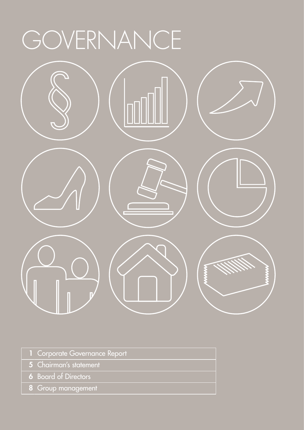# GOVERNANCE



- 1 Corporate Governance Report
- 5 Chairman's statement
- 6 Board of Directors
- 8 Group management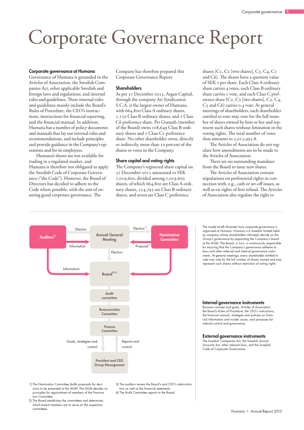### Corporate Governance Report

#### Corporate governance at Humana

Governance of Humana is grounded in the Articles of Association, the Swedish Companies Act, other applicable Swedish and foreign laws and regulations, and internal rules and guidelines. These internal rules and guidelines mainly include the Board's Rules of Procedure, the CEO's instructions, instructions for financial reporting, and the financial manual. In addition, Humana has a number of policy documents and manuals that lay out internal rules and recommendations, and include principles and provide guidance in the Company's operations and for its employees.

Humana's shares are not available for trading in a regulated market, and Humana is therefore not obligated to apply the Swedish Code of Corporate Governance ("the Code"). However, the Board of Directors has decided to adhere to the Code where possible, with the aim of ensuring good corporate governance. The

Company has therefore prepared this Corporate Governance Report.

#### **Shareholders**

As per 31 December 2015, Argan Capital, through the company Air Syndication S.C.A. is the largest owner of Humana, with 664,800 Class A ordinary shares, 1,150 Class B ordinary shares, and 1 Class C6 preference share. Per Granath (member of the Board) owns 108,649 Class B ordinary shares and 1 Class C1 preference share. No other shareholder owns, directly or indirectly, more than 10 percent of the shares or votes in the Company.

#### Share capital and voting rights

tion as well as the financial statements. 4) The Audit Committee reports to the Board.

The Company's registered share capital on 31 December 2015 amounted to SEK 1,019,600, divided among 1,019,600 shares, of which 664,800 are Class A ordinary shares, 354,793 are Class B ordinary shares, and seven are Class C preference

shares ( $C_1$ ,  $C_2$  [two shares],  $C_3$ ,  $C_4$ ,  $C_5$ and C6). The shares have a quotient value of SEK 1 per share. Each Class A ordinary share carries 4 votes, each Class B ordinary share carries 1 vote, and each Class C preference share (C1, C2 [two shares], C3, C4, C5 and C6) carries 0.4 vote. At general meetings of shareholders, each shareholder entitled to vote may vote for the full number of shares owned by him or her and represent such shares without limitation in the voting rights. The total number of votes thus amounts to 3,013,995.8.

The Articles of Association do not regulate how amendments are to be made to the Articles of Association.

There are no outstanding mandates from the Board to issue new shares.

The Articles of Association contain stipulations on preferential rights in connection with, e.g., cash or set-off issues, as well as on rights of first refusal. The Articles of Association also regulate the right to



1) The Nomination Committee drafts proposals for decisions to be presented at the AGM. The AGM decides on principles for appointment of members of the Nomination Committe

2) The Board establishes the committees and determines which board members are to serve on the respective committees.

The model at left illustrates how corporate governance is organised at Humana. Humana is a Swedish limited liability company whose shareholders ultimately decide on the Group's governance by appointing the Company's board at the AGM. The Board, in turn, is continuously responsible for ensuring that the Company's governance adheres to laws and other external and internal governance instruments. At general meetings, every shareholder entitled to vote may vote for the full number of shares owned and may represent such shares without restriction of voting rights.

#### Internal governance instruments

Business concept and goals, Articles of Association, the Board's Rules of Procedure, the CEO's instructions, the financial manual, strategies and policies on financial information and insider issues, and processes for internal control and governance.

### **External governance instruments**<br>The Swedish Companies Act, the Swedish Annu

.<br>Companies Act, the Swedish Annual Accounts Act, other relevant laws, and the Swedish Code of Corporate Governance.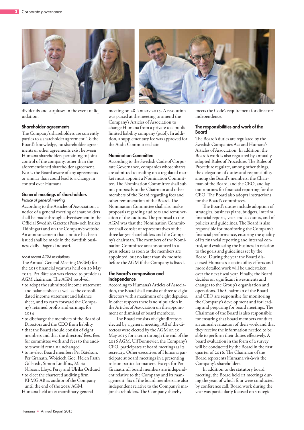

dividends and surpluses in the event of liquidation.

#### Shareholder agreements

The Company's shareholders are currently parties to a shareholder agreement. To the Board's knowledge, no shareholder agreements or other agreements exist between Humana shareholders pertaining to joint control of the company, other than the aforementioned shareholder agreement. Nor is the Board aware of any agreements or similar than could lead to a change in control over Humana.

#### General meetings of shareholders *Notice of general meeting*

According to the Articles of Association, a notice of a general meeting of shareholders shall be made through advertisement in the Official Swedish Gazette (Post- och Inrikes Tidningar) and on the Company's website. An announcement that a notice has been issued shall be made in the Swedish business daily Dagens Industri.

#### *Most recent AGM resolutions*

The Annual General Meeting (AGM) for the 2015 financial year was held on 20 May 2015. Per Båtelson was elected to preside as AGM chairman. The AGM resolved:

- to adopt the submitted income statement and balance sheet as well as the consolidated income statement and balance sheet, and to carry forward the Company's retained profits and earnings for 2014
- to discharge the members of the Board of Directors and the CEO from liability
- that the Board should consist of eight members and that the directors' fees, fees for committee work and fees to the auditors would remain unchanged
- to re-elect Board members Per Båtelson, Per Granath, Wojciech Goc, Helen Fasth Gillstedt, Simon Lindfors, Maria Nilsson, Lloyd Perry and Ulrika Östlund
- to elect the chartered auditing firm KPMG AB as auditor of the Company until the end of the 2016 AGM.

Humana held an extraordinary general



meeting on 28 January 2015. A resolution was passed at the meeting to amend the Company's Articles of Association to change Humana from a private to a public limited liability company (publ). In addition, a supplementary fee was approved for the Audit Committee chair.

#### Nomination Committee

According to the Swedish Code of Corporate Governance, companies whose shares are admitted to trading on a regulated market must appoint a Nomination Committee. The Nomination Committee shall submit proposals to the Chairman and other members of the Board regarding fees and other remuneration of the Board. The Nomination Committee shall also make proposals regarding auditors and remuneration of the auditors. The proposal to the AGM was that the Nomination Committee shall consist of representatives of the three largest shareholders and the Company's chairman. The members of the Nomination Committee are announced in a press release as soon as the members are appointed, but no later than six months before the AGM if the Company is listed.

#### The Board's composition and independence

According to Humana's Articles of Association, the Board shall consist of three to eight directors with a maximum of eight deputies. In other respects there is no stipulation in the Articles of Association on the appointment or dismissal of board members.

The Board consists of eight directors elected by a general meeting. All of the directors were elected by the AGM on 20 May 2015 for a term through the end of the 2016 AGM. Ulf Bonnevier, the Company's CFO, participates at board meetings as its secretary. Other executives of Humana participate at board meetings in a presenting role on particular matters. Except for Per Granath, all board members are independent relative to the Company and its management. Six of the board members are also independent relative to the Company's major shareholders. The Company thereby

meets the Code's requirement for directors' independence.

#### The responsibilities and work of the Board

The Board's duties are regulated by the Swedish Companies Act and Humana's Articles of Association. In addition, the Board's work is also regulated by annually adopted Rules of Procedure. The Rules of Procedure regulate, among other things, the delegation of duties and responsibility among the Board's members, the Chairman of the Board, and the CEO, and lay out routines for financial reporting for the CEO. The Board also adopts instructions for the Board's committees.

The Board's duties include adoption of strategies, business plans, budgets, interim financial reports, year-end accounts, and of policies and guidelines. The Board is also responsible for monitoring the Company's financial performance, ensuring the quality of its financial reporting and internal control, and evaluating the business in relation to the goals and guidelines set by the Board. During the year the Board discussed Humana's sustainability efforts and more detailed work will be undertaken over the next fiscal year. Finally, the Board decides on significant investments and changes to the Group's organisation and operations. The Chairman of the Board and CEO are responsible for monitoring the Company's development and for leading and preparing for board meetings. The Chairman of the Board is also responsible for ensuring that board members conduct an annual evaluation of their work and that they receive the information needed to be able to perform their duties effectively. A board evaluation in the form of a survey will be conducted by the Board in the first quarter of 2016. The Chairman of the Board represents Humana vis-à-vis the Company's shareholders.

In addition to the statutory board meeting, the Board held 12 meetings during the year, of which four were conducted by conference call. Board work during the year was particularly focused on strategic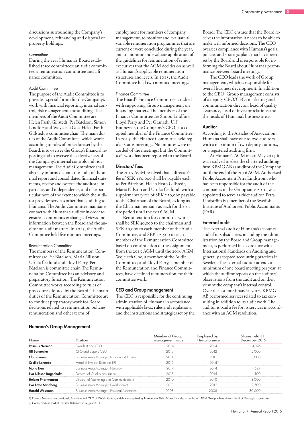discussions surrounding the Company's development, refinancing and disposal of property holdings.

#### *Committees*

During the year Humana's Board established three committees: an audit committee, a remuneration committee and a finance committee.

#### Audit Committee

The purpose of the Audit Committee is to provide a special forum for the Company's work with financial reporting, internal control, risk management and auditing. The members of the Audit Committee are Helen Fasth Gillstedt, Per Båtelson, Simon Lindfors and Woyciech Goc. Helen Fasth Gillstedt is committee chair. The main duties of the Audit Committee, which works according to rules of procedure set by the Board, is to oversee the Group's financial reporting and to oversee the effectiveness of the Company's internal controls and risk management. The Audit Committee shall also stay informed about the audit of the annual report and consolidated financial statements, review and oversee the auditor's impartiality and independence, and take particular note of the extent to which the auditor provides services other than auditing to Humana. The Audit Committee maintains contact with Humana's auditor in order to ensure a continuous exchange of views and information between the Board and the auditor on audit matters. In 2015, the Audit Committee held five minuted meetings.

#### Remuneration Committee

The members of the Remuneration Committee are Per Båtelson, Maria Nilsson, Ulrika Östlund and Lloyd Perry. Per Båtelson is committee chair. The Remuneration Committee has an advisory and preparatory function. The Remuneration Committee works according to rules of procedure adopted by the Board. The main duties of the Remuneration Committee are to conduct preparatory work for Board decisions related to remuneration policies, remuneration and other terms of

employment for members of company management, to monitor and evaluate all variable remuneration programmes that are current or were concluded during the year, and to monitor and evaluate application of the guidelines for remuneration of senior executives that the AGM decides on as well as Humana's applicable remuneration structures and levels. In 2015, the Audit Committee held two minuted meetings.

#### Finance Committee

The Board's Finance Committee is tasked with supporting Group management on financing matters. The members of the Finance Committee are Simon Lindfors, Lloyd Perry and Per Granath. Ulf Bonnevier, the Company's CFO, is a coopted member of the Finance Committee. In 2015, the Finance Committee held regular status meetings. No minutes were recorded of the meetings, but the Committee's work has been reported to the Board.

#### Directors' fees

The 2015 AGM resolved that a director's fee of SEK 180,000 shall be payable each to Per Båtelson, Helen Fasth Gillstedt, Maria Nilsson and Ulrika Östlund, with a supplementary fee of SEK 220,000 payable to the Chairman of the Board, as long as the Chairman remains as such for the entire period until the 2016 AGM.

Remuneration for committee work shall be SEK 40,000 to the chairman and SEK 20,000 to each member of the Audit Committee, and SEK 12,500 to each member of the Remuneration Committee, based on continuation of the assignment from the 2015 AGM until the 2016 AGM. Wojciech Goc, a member of the Audit Committee, and Lloyd Perry, a member of the Remuneration and Finance Committees, have declined remuneration for their committee work.

#### CEO and Group management

The CEO is responsible for the continuing administration of Humana in accordance with applicable laws, rules and regulations, and the instructions and strategies set by the Board. The CEO ensures that the Board receives the information it needs to be able to make well informed decisions. The CEO oversees compliance with Humana's goals, policies and strategic plans that have been set by the Board and is responsible for informing the Board about Humana's performance between board meetings.

The CEO leads the work of Group management, which is responsible for overall business development. In addition to the CEO, Group management consists of a deputy CEO/CFO, marketing and communication director, head of quality assurance, head of investor relations and the heads of Humana's business areas.

#### Auditor

According to the Articles of Association, Humana shall have one to two auditors with a maximum of two deputy auditors, or a registered auditing firm.

At Humana's AGM on 20 May 2015 it was resolved to elect the chartered auditing firm KPMG AB as auditor of the Company until the end of the 2016 AGM. Authorised Public Accountant Petra Lindström, who has been responsible for the audit of the companies in the Group since 2010, was appointed to serve as chief auditor. Petra Lindström is a member of the Swedish Institute of Authorised Public Accountants  $(FAR)$ 

#### External audit

The external audit of Humana's accounts and of its subsidiaries, including the administration by the Board and Group management, is performed in accordance with International Standards on Auditing and generally accepted accounting practices in Sweden. The external auditor attends a minimum of one board meeting per year, at which the auditor reports on the auditors' observations from the audit and on their view of the company's internal control. Over the last four financial years, KPMG AB performed services related to tax consulting in addition to its audit work. The auditor is paid a fee for its services in accordance with an AGM resolution.

#### Humana's Group Management

| Name                     | Position                                   | Member of Group<br>management since | Employed by<br>Humana since | Shares held 31<br>December 2015 |
|--------------------------|--------------------------------------------|-------------------------------------|-----------------------------|---------------------------------|
| <b>Rasmus Nerman</b>     | President and CFO                          | $2014$ <sup>11</sup>                | 2014                        | 4,376                           |
| <b>Ulf Bonnevier</b>     | CFO and deputy CEO                         | 2012                                | 2012                        | 5.000                           |
| <b>Claus Forum</b>       | Business Area Manager, Individual & Family | 2011                                | 2011                        | 5.000                           |
| Cecilia Lannebo          | Head of Investor Relations (IR)            | 2015                                | $2014^{21}$                 |                                 |
| Mong Lien                | Business Area Manager, Norway              | $2014$ <sup>11</sup>                | 2014                        | 597                             |
| Eva Nilsson Bågenholm    | Director of Quality Assurance              | 2015                                | 2015                        | 100                             |
| <b>Helena Pharmanson</b> | Director of Marketing and Communications   | 2010                                | 2010                        | 3.000                           |
| Eva-Lotta Sandberg       | Business Area Manager, Development         | 2013                                | 2012                        | 2.500                           |
| <b>Harald Wessman</b>    | Business Area Manager, Personal Assistance | 2008                                | 2008                        | 30.000                          |

1) Rasmus Nerman was previously President and CEO of INOM Group, which was acquired by Humana in 2014. Mona Lien also came from INOM Group, where she was head of Norwegian operations. 2) Contracted as Head of Investor Relations in August 2014.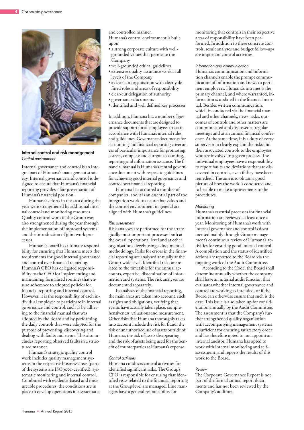

Internal control and risk management *Control environment*

Internal governance and control is an integral part of Humana's management strategy. Internal governance and control is designed to ensure that Humana's financial reporting provides a fair presentation of Humana's financial position.

Humana's efforts in the area during the year were strengthened by additional internal control and monitoring resources. Quality control work in the Group was also strengthened during the year through the implementation of improved systems and the introduction of joint work processes.

Humana's board has ultimate responsibility for ensuring that Humana meets the requirements for good internal governance and control over financial reporting. Humana's CEO has delegated responsibility to the CFO for implementing and maintaining formalised routines that ensure adherence to adopted policies for financial reporting and internal control. However, it is the responsibility of each individual employee to participate in internal governance and control, such as by adhering to the financial manual that was adopted by the Board and by performing the daily controls that were adopted for the purpose of preventing, discovering and dealing with faults and errors. This also includes reporting observed faults in a structured manner.

Humana's strategic quality control work includes quality management systems in the respective business areas (parts of the systems are ISO9001-certified), systematic monitoring and internal control. Combined with evidence-based and measureable procedures, the conditions are in place to develop operations in a systematic and controlled manner. Humana's control environment is built upon:

- a strong corporate culture with wellgrounded values that permeate the Company
- well-grounded ethical guidelines
- extensive quality-assurance work at all levels of the Company
- a clear-cut organisation with clearly defined roles and areas of responsibility
- clear-cut delegation of authority
- governance documents
- identified and well defined key processes

In addition, Humana has a number of governance documents that are designed to provide support for all employees to act in accordance with Humana's internal rules and guidelines. Governance documents for accounting and financial reporting cover areas of particular importance for promoting correct, complete and current accounting, reporting and information issuance. The financial manual is Humana's central governance document with respect to guidelines for achieving good internal governance and control over financial reporting.

Humana has acquired a number of companies, and it is an essential part of the integration work to ensure that values and the control environment in general are aligned with Humana's guidelines.

#### *Risk assessment*

Risk analyses are performed for the strategically most important processes both at the overall operational level and at other organisational levels using a documented methodology. Risks for errors in the financial reporting are analysed annually at the Group-wide level. Identified risks are related to the timetable for the annual accounts, expertise, dissemination of information and systems. The risk analyses are documented separately.

In analyses of the financial reporting, the main areas are taken into account, such as rights and obligations, verifying that events have actually taken place, comprehensiveness, valuations and measurement. Other risks that Humana thoroughly takes into account include the risk for fraud, the risk of unauthorised use of assets outside of Humana, the risk of assets disappearing, and the risk of assets being used for the benefit of counterparties at Humana's expense.

#### *Control activities*

Humana conducts control activities for identified significant risks. The Group's CFO is responsible for ensuring that identified risks related to the financial reporting at the Group level are managed. Line managers have a general responsibility for

monitoring that controls in their respective areas of responsibility have been performed. In addition to these concrete controls, result analyses and budget follow-ups are important control activities.

#### *Information and communication*

Humana's communication and information channels enable the prompt communication of information and news to pertinent employees. Humana's intranet is the primary channel, and where warranted, information is updated in the financial manual. Besides written communication, which is conducted via the financial manual and other channels, news, risks, outcomes of controls and other matters are communicated and discussed at regular meetings and at an annual financial conference. At the same time, it is a duty of every supervisor to clearly explain the risks and their associated controls to the employees who are involved in a given process. The individual employees have a responsibility to report faults and deviations that are discovered in controls, even if they have been remedied. The aim is to obtain a good picture of how the work is conducted and to be able to make improvements to the procedures.

#### *Monitoring*

Humana's essential processes for financial information are reviewed at least once a year. Monitoring of Humana's work with internal governance and control is documented mainly through Group management's continuous review of Humana's activities for ensuring good internal control. A compilation and the status of identified actions are reported to the Board via the ongoing work of the Audit Committee.

According to the Code, the Board shall determine annually whether the company shall have an internal audit function that evaluates whether internal governance and control are working as intended, or if the Board can otherwise ensure that such is the case. This issue is also taken up for consideration annually by the Audit Committee. The assessment is that the Company's further strengthened quality organisation with accompanying management systems is sufficient for ensuring satisfactory order and has therefore opted to not appoint an internal auditor. Humana has opted to work with internal monitoring and selfassessment, and reports the results of this work to the Board.

#### *Review*

The Corporate Governance Report is not part of the formal annual report documents and has not been reviewed by the Company's auditors.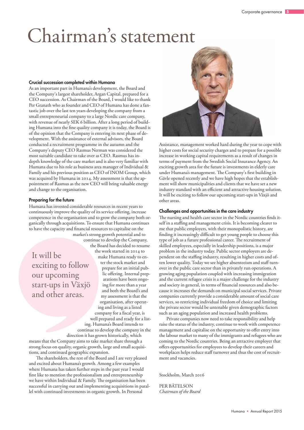### Chairman's statement

#### Crucial succession completed within Humana

As an important part in Humana's development, the Board and the Company's largest shareholder, Argan Capital, prepared for a CEO succession. As Chairman of the Board, I would like to thank Per Granath who as founder and CEO of Humana has done a fantastic job over the last ten years developing the company from a small entrepreneurial company to a large Nordic care company, with revenue of nearly SEK 6 billion. After a long period of building Humana into the fine quality company it is today, the Board is of the opinion that the Company is entering its next phase of development. With the assistance of external advisors, the Board conducted a recruitment programme in the autumn and the Company's deputy CEO Rasmus Nerman was considered the most suitable candidate to take over as CEO. Rasmus has indepth knowledge of the care market and is also very familiar with Humana due to his role as business area manager of Individual & Family and his previous position as CEO of INOM Group, which was acquired by Humana in 2014. My assessment is that the appointment of Rasmus as the new CEO will bring valuable energy and change to the organisation.

#### Preparing for the future

Humana has invested considerable resources in recent years to continuously improve the quality of its service offering, increase competence in the organisation and to grow the company both organically through acquisitions. To ensure that Humana continues to have the capacity and financial resources to capitalise on the market's strong growth potential and to

It will be exciting to follow our upcoming start-ups in Växjö and other areas.

continue to develop the Company, the Board has decided to resume the work started in 2014 to make Humana ready to enter the stock market and prepare for an initial public offering. Internal preparations have been ongoing for more than a year and both the Board's and my assessment is that the organisation, after operating and living as a listed company for a fiscal year, is well prepared and ready for a listing. Humana's Board intends to continue to develop the company in the

direction it has grown historically, which

means that the Company aims to take market share through a strong focus on quality, organic growth, large and small acquisitions, and continued geographic expansion.

The shareholders, the rest of the Board and I are very pleased and excited about Humana's growth. Among a few examples where Humana has taken further steps in the past year I would first like to mention the professionalism and entrepreneurship we have within Individual & Family. The organisation has been successful in carrying out and implementing acquisitions in parallel with continued investments in organic growth. In Personal



Assistance, management worked hard during the year to cope with higher costs for social security charges and to prepare for a possible increase in working capital requirements as a result of changes in terms of payment from the Swedish Social Insurance Agency. An exciting growth area for the future is investments in elderly care under Humana's management. The Company's first building in Gävle opened recently and we have high hopes that the establishment will show municipalities and clients that we have set a new industry standard with an efficient and attractive housing solution. It will be exciting to follow our upcoming start-ups in Växjö and other areas.

#### Challenges and opportunities in the care industry

The nursing and health care sector in the Nordic countries finds itself in a staffing and management crisis. It is becoming clearer to me that public employers, with their monopolistic history, are finding it increasingly difficult to get young people to choose this type of job as a future professional career. The recruitment of skilled employees, especially in leadership positions, is a major problem in the industry today. Public sector employers are dependent on the staffing industry, resulting in higher costs and often lower quality. Today we see higher absenteeism and staff turnover in the public care sector than in privately run operations. A growing aging population coupled with increasing immigration and the current refugee crisis is a major challenge for the industry and society in general, in terms of financial resources and also because it increases the demands on municipal social services. Private companies currently provide a considerable amount of social care services, so restricting individual freedom of choice and limiting the private sector would be untenable given demographic factors such as an aging population and increased health problems.

Private companies now need to take responsibility and help raise the status of the industry, continue to work with competence management and capitalise on the opportunity to offer entry into the labour market to many of the immigrants and refugees who are coming to the Nordic countries. Being an attractive employer that offers opportunities for employees to develop their careers and workplaces helps reduce staff turnover and thus the cost of recruitment and vacancies.

Stockholm, March 2016

PER BÅTELSON *Chairman of the Board*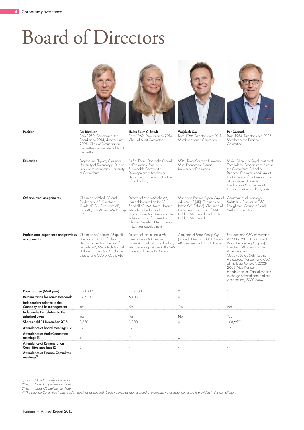### Board of Directors



|                                                     | Polybiocept AB. Director of<br>Oriola KD Oy, Swedcare AB,<br>Forte AB, KRY AB and MedGroup<br>OY.                                                                                                    | Handelsbanken Fonder AB.<br>Samhall AB, NAI Svefa Holding<br>AB och Sjölunda Gård<br>Ekogrossisten AB. Director on the<br>Advisory Board for Save the<br>Children Sweden. Own company<br>in business development. | Advisors LLP (UK). Chairman of<br>Janton OY (Finland). Chairman of<br>the Supervisory Board of AAT<br>Holding SA (Poland) and Hortex<br>Holding SA (Poland). | Salktennis, Director of G&S<br>Fastigheter i Sverige AB and<br>Svefa Holding AB.                                                                                                                                                                                                                 |
|-----------------------------------------------------|------------------------------------------------------------------------------------------------------------------------------------------------------------------------------------------------------|-------------------------------------------------------------------------------------------------------------------------------------------------------------------------------------------------------------------|--------------------------------------------------------------------------------------------------------------------------------------------------------------|--------------------------------------------------------------------------------------------------------------------------------------------------------------------------------------------------------------------------------------------------------------------------------------------------|
| Professional experience and previous<br>assignments | Chairman of Apoteket AB (publ).<br>Director and CEO of Global<br>Health Partner AB. Director of<br>Permobil AB, Mediatech AB and<br>Unilabs Holding AB. Also former<br>director and CEO of Capio AB. | Director of Intrum Justitia AB,<br>Swedesurvey AB, Precise<br>Biometrics and neXus Technology<br>AB. Executive positions in the SAS<br>Group and the Statoil Group.                                               | Chairman of Paroc Group Oy<br>(Finland). Director of GCE Group<br>AB (Sweden) and EFL SA (Poland).                                                           | President and CEO of Humana<br>AB 2006-2015. Chairman of<br>Resurs Bemanning AB (publ).<br>Director of Akademiska Hus<br>Aktiebolag and<br>GustaviaDavegårdh Holding<br>Aktiebolag. President and CEO<br>of Intellecta AB (publ), 2003-<br>2006. Vice President<br>Handelsbanken Capital Markets |

in charge of healthcare and services sectors, 2000-2003.

| Director's fee (AGM year)            | 400,000 | 180,000 |     |                         |
|--------------------------------------|---------|---------|-----|-------------------------|
| Remuneration for committee work      | 32,500  | 60,000  |     |                         |
| Independent relative to the          |         |         |     |                         |
| Company and its management           | Yes     | Yes     | Yes | No                      |
| Independent in relation to the       |         |         |     |                         |
| principal owner                      | Yes     | Yes     | No. | Yes                     |
| Shares held 31 December 2015         | 1,850   | 1,000   |     | $108,650$ <sup>11</sup> |
| Attendance at board meetings (12)    | 12      |         |     | 12                      |
| <b>Attendance at Audit Committee</b> |         |         |     |                         |
| meetings (5)                         |         |         |     |                         |
| <b>Attendance at Remuneration</b>    |         |         |     |                         |
| Committee meetings (2)               |         |         |     |                         |
| Attendance at Finance Committee      |         |         |     |                         |
| meetings <sup>4</sup>                |         |         |     |                         |
|                                      |         |         |     |                         |

*1) Incl. 1 Class C1 preference share.*

*2) Incl. 1 Class C2 preference share.* 

*3) Incl. 1 Class C5 preference share.* 

*4) The Finance Committee holds regular meetings as needed. Since no minutes are recorded of meetings, no attendance record is provided in this compilation.*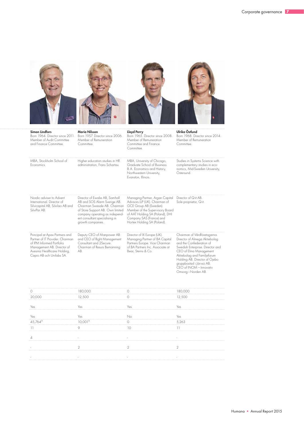

administration, Frans Schartau.

Economics.

| Nordic adviser to Advent<br>International, Director of<br>Silvicapital AB, Silvilao AB and<br>SilviPar AB.                                                                               | Director of Ewalie AB. Samhall<br>AB and SOS Alarm Sverige AB.<br>Chairman Swesale AB. Chairman<br>of Store Support AB. Own limited<br>company operating as independ-<br>ent consultant specialising in<br>growth companies. | Managing Partner, Argan Capital<br>Advisors LLP (UK). Chairman of<br>GCE Group AB (Sweden).<br>Member of the Supervisory Board<br>of AAT Holding SA (Poland), DHI<br>Company SAS (France) and<br>Hortex Holding SA (Poland). | Director of Q-it AB.<br>Sole proprietor, Q-it.                                                                                                                                                                           |
|------------------------------------------------------------------------------------------------------------------------------------------------------------------------------------------|------------------------------------------------------------------------------------------------------------------------------------------------------------------------------------------------------------------------------|------------------------------------------------------------------------------------------------------------------------------------------------------------------------------------------------------------------------------|--------------------------------------------------------------------------------------------------------------------------------------------------------------------------------------------------------------------------|
| Principal at Apax Partners and<br>Partner of IT Provider, Chairman<br>of IPM Informed Portfolio<br>Management AB. Director of<br>Avesina Healthcare Holding,<br>Capio AB och Unilabs SA. | Deputy CEO of Manpower AB<br>and CEO of Right Management<br>Consultant and 2Secure.<br>Chairman of Resurs Bemanning<br>AB.                                                                                                   | Director of IX Europe (UK).<br>Managing Partner of BA Capital<br>Partners Europe. Vice Chairman<br>of BA Partners Inc. Associate at<br>Bear, Sterns & Co.                                                                    | Chairman of Vårdföretagarna.<br>Director of Almega Aktiebolag<br>and the Confederation of<br>Swedish Enterprise. Director and<br>CEO of Elina Management<br>Aktiebolag and Familjeforum<br>Holding AB. Director of Ojebo |

Graduate School of Business. B.A. Economics and History, Northwestern University, Evanston, Illinois.

complementary studies in economics, Mid-Sweden University,

gruppbostad i Järvsö AB. CEO of INOM – Innovativ Omsorg i Norden AB.

Östersund.

|                                              | 180,000                                     |                 | 180,000                         |
|----------------------------------------------|---------------------------------------------|-----------------|---------------------------------|
| 20,000                                       | 12,500<br>---- <b>-</b> ------------------- |                 | 12,500<br>--------------------- |
|                                              |                                             |                 |                                 |
| Yes<br>------------------                    | Yes                                         | Yes             | Yes                             |
|                                              |                                             |                 |                                 |
| Yes                                          | Yes                                         | No              | Yes                             |
| $45,764^{21}$<br>-----------------           | $10,001^{31}$<br>---------------            |                 | 5,263                           |
| $\overline{11}$                              |                                             | $\sim$          | 11                              |
| ----------------                             | --------------------                        | ------------    | ----------------                |
|                                              |                                             |                 |                                 |
|                                              |                                             |                 |                                 |
| <b>Contract</b><br><b>BELLEVILLE COMPANY</b> |                                             |                 |                                 |
|                                              |                                             |                 |                                 |
| <b>Contract</b>                              | $\sim 10^{-10}$                             | <b>Contract</b> | <b>Contract Contract</b>        |
|                                              |                                             |                 |                                 |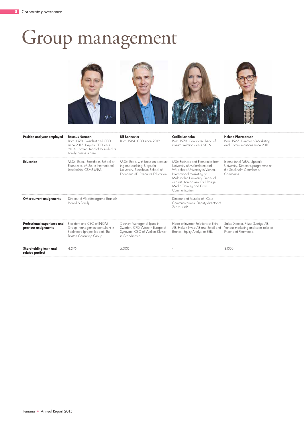## Group management

![](_page_8_Picture_2.jpeg)

| Position and year employed                          | <b>Rasmus Nerman</b><br>Born 1978. President and CEO<br>since 2015. Deputy CEO since<br>2014. Former Head of Individual &<br>Family business area. | <b>Ulf Bonnevier</b><br>Born 1964, CFO since 2012.                                                                                       | Cecilia Lannebo<br>Born 1973. Contracted head of<br>investor relations since 2015.                                                                                                                                                                      | Helena Pharmanson<br>Born 1966. Director of Marketing<br>and Communications since 2010.                    |  |  |
|-----------------------------------------------------|----------------------------------------------------------------------------------------------------------------------------------------------------|------------------------------------------------------------------------------------------------------------------------------------------|---------------------------------------------------------------------------------------------------------------------------------------------------------------------------------------------------------------------------------------------------------|------------------------------------------------------------------------------------------------------------|--|--|
| Education                                           | M.Sc. Econ., Stockholm School of<br>Economics. M.Sc. in International<br>Leadership, CEMS MIM.                                                     | M.Sc. Econ. with focus on account-<br>ing and auditing, Uppsala<br>University. Stockholm School of<br>Economics IFL Executive Education. | MSc Business and Economics from<br>University of Mälardalen and<br>Wirtschafts University in Vienna.<br>International marketing at<br>Mälardalen University. Financial<br>analyst, Kämpasten. Paul Ronge<br>Media Training and Crisis<br>Communication. | International MBA, Uppsala<br>University. Director's programme at<br>the Stockholm Chamber of<br>Commerce. |  |  |
| Other current assignments                           | Director of Vårdföretagarna Bransch -<br>Individ & Familj.                                                                                         |                                                                                                                                          | Director and founder of i-Core<br>Communications. Deputy director of<br>Zubizuri AB.                                                                                                                                                                    |                                                                                                            |  |  |
| Professional experience and<br>previous assignments | President and CEO of INOM<br>Group, management consultant in<br>healthcare (project leader), The<br>Boston Consulting Group.                       | Country Manager of Ipsos in<br>Sweden. CFO Western Europe of<br>Synovate. CEO of Wolters Kluwer<br>in Scandinavia.                       | Head of Investor Relations at Eniro<br>AB, Hakon Invest AB and Retail and<br>Brands. Equity Analyst at SEB.                                                                                                                                             | Sales Director, Pfizer Sverige AB.<br>Various marketing and sales roles at<br>Pfizer and Pharmacia.        |  |  |
| Shareholding (own and<br>related parties)           | 4.376                                                                                                                                              | 5,000                                                                                                                                    |                                                                                                                                                                                                                                                         | 3,000                                                                                                      |  |  |